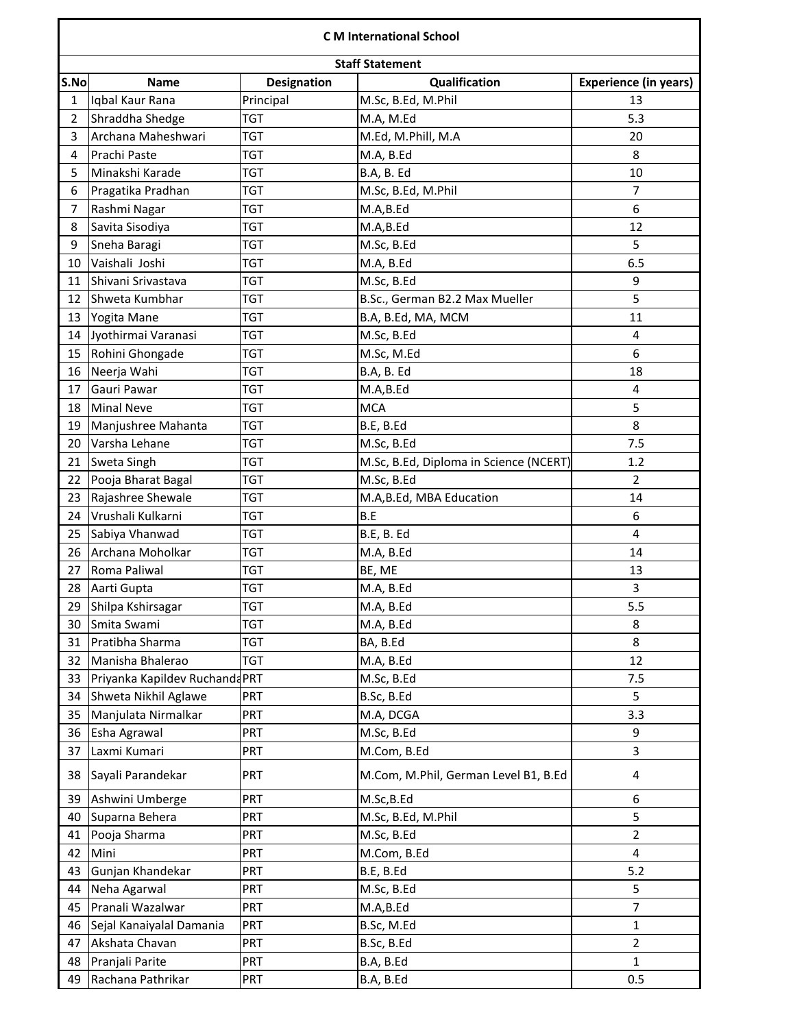## **C M International School**

| S.No           | <b>Staff Statement</b><br>Qualification<br><b>Name</b> |                                 |                                        |                                    |  |  |  |  |
|----------------|--------------------------------------------------------|---------------------------------|----------------------------------------|------------------------------------|--|--|--|--|
| $\mathbf{1}$   | Iqbal Kaur Rana                                        | <b>Designation</b><br>Principal | M.Sc, B.Ed, M.Phil                     | <b>Experience (in years)</b><br>13 |  |  |  |  |
| $\overline{2}$ | Shraddha Shedge                                        | TGT                             | M.A, M.Ed                              | 5.3                                |  |  |  |  |
| $\overline{3}$ | Archana Maheshwari                                     | <b>TGT</b>                      |                                        | 20                                 |  |  |  |  |
|                |                                                        |                                 | M.Ed, M.Phill, M.A                     | 8                                  |  |  |  |  |
| 4              | Prachi Paste                                           | <b>TGT</b>                      | M.A, B.Ed                              |                                    |  |  |  |  |
| 5              | Minakshi Karade                                        | TGT                             | B.A, B. Ed                             | 10<br>$\overline{7}$               |  |  |  |  |
| 6              | Pragatika Pradhan                                      | <b>TGT</b>                      | M.Sc, B.Ed, M.Phil                     | 6                                  |  |  |  |  |
| $\overline{7}$ | Rashmi Nagar                                           | TGT                             | M.A,B.Ed                               |                                    |  |  |  |  |
| 8              | Savita Sisodiya                                        | TGT                             | M.A,B.Ed                               | 12                                 |  |  |  |  |
| 9              | Sneha Baragi                                           | TGT                             | M.Sc, B.Ed                             | 5                                  |  |  |  |  |
| 10             | Vaishali Joshi                                         | TGT                             | M.A, B.Ed                              | 6.5                                |  |  |  |  |
| 11             | Shivani Srivastava                                     | <b>TGT</b>                      | M.Sc, B.Ed                             | 9                                  |  |  |  |  |
| 12             | Shweta Kumbhar                                         | TGT                             | B.Sc., German B2.2 Max Mueller         | 5                                  |  |  |  |  |
| 13             | Yogita Mane                                            | TGT                             | B.A, B.Ed, MA, MCM                     | 11                                 |  |  |  |  |
| 14             | Jyothirmai Varanasi                                    | <b>TGT</b>                      | M.Sc, B.Ed                             | 4                                  |  |  |  |  |
| 15             | Rohini Ghongade                                        | TGT                             | M.Sc, M.Ed                             | 6                                  |  |  |  |  |
| 16             | Neerja Wahi                                            | <b>TGT</b>                      | B.A, B. Ed                             | 18                                 |  |  |  |  |
| 17             | Gauri Pawar                                            | TGT                             | M.A,B.Ed                               | 4                                  |  |  |  |  |
| 18             | Minal Neve                                             | <b>TGT</b>                      | <b>MCA</b>                             | 5                                  |  |  |  |  |
| 19             | Manjushree Mahanta                                     | <b>TGT</b>                      | B.E, B.Ed                              | 8                                  |  |  |  |  |
| 20             | Varsha Lehane                                          | TGT                             | M.Sc, B.Ed                             | 7.5                                |  |  |  |  |
| 21             | Sweta Singh                                            | TGT                             | M.Sc, B.Ed, Diploma in Science (NCERT) | 1.2                                |  |  |  |  |
| 22             | Pooja Bharat Bagal                                     | <b>TGT</b>                      | M.Sc, B.Ed                             | $\overline{2}$                     |  |  |  |  |
| 23             | Rajashree Shewale                                      | TGT                             | M.A,B.Ed, MBA Education                | 14                                 |  |  |  |  |
| 24             | Vrushali Kulkarni                                      | TGT                             | B.E                                    | 6                                  |  |  |  |  |
| 25             | Sabiya Vhanwad                                         | <b>TGT</b>                      | B.E, B. Ed                             | $\overline{4}$                     |  |  |  |  |
| 26             | Archana Moholkar                                       | TGT                             | M.A, B.Ed                              | 14                                 |  |  |  |  |
| 27             | Roma Paliwal                                           | TGT                             | BE, ME                                 | 13                                 |  |  |  |  |
| 28             | Aarti Gupta                                            | <b>TGT</b>                      | M.A, B.Ed                              | $\overline{3}$                     |  |  |  |  |
| 29             | Shilpa Kshirsagar                                      | TGT                             | M.A, B.Ed                              | 5.5                                |  |  |  |  |
| 30             | Smita Swami                                            | TGT                             | M.A, B.Ed                              | 8                                  |  |  |  |  |
| 31             | Pratibha Sharma                                        | <b>TGT</b>                      | BA, B.Ed                               | 8                                  |  |  |  |  |
| 32             | Manisha Bhalerao                                       | TGT                             | M.A, B.Ed                              | 12                                 |  |  |  |  |
| 33             | Priyanka Kapildev Ruchanda PRT                         |                                 | M.Sc, B.Ed                             | 7.5                                |  |  |  |  |
| 34             | Shweta Nikhil Aglawe                                   | PRT                             | B.Sc, B.Ed                             | 5                                  |  |  |  |  |
| 35             | Manjulata Nirmalkar                                    | <b>PRT</b>                      | M.A, DCGA                              | 3.3                                |  |  |  |  |
| 36             | Esha Agrawal                                           | PRT                             | M.Sc, B.Ed                             | 9                                  |  |  |  |  |
| 37             | Laxmi Kumari                                           | <b>PRT</b>                      | M.Com, B.Ed                            | 3                                  |  |  |  |  |
| 38             | Sayali Parandekar                                      | PRT                             | M.Com, M.Phil, German Level B1, B.Ed   | 4                                  |  |  |  |  |
| 39             | Ashwini Umberge                                        | PRT                             | M.Sc, B.Ed                             | 6                                  |  |  |  |  |
| 40             | Suparna Behera                                         | <b>PRT</b>                      | M.Sc, B.Ed, M.Phil                     | 5                                  |  |  |  |  |
| 41             | Pooja Sharma                                           | <b>PRT</b>                      | M.Sc, B.Ed                             | $\overline{2}$                     |  |  |  |  |
| 42             | Mini                                                   | PRT                             | M.Com, B.Ed                            | 4                                  |  |  |  |  |
| 43             | Gunjan Khandekar                                       | PRT                             | B.E, B.Ed                              | 5.2                                |  |  |  |  |
| 44             | Neha Agarwal                                           | <b>PRT</b>                      | M.Sc, B.Ed                             | 5                                  |  |  |  |  |
| 45             | Pranali Wazalwar                                       | PRT                             | M.A,B.Ed                               | $\overline{7}$                     |  |  |  |  |
| 46             | Sejal Kanaiyalal Damania                               | PRT                             | B.Sc, M.Ed                             | $\mathbf{1}$                       |  |  |  |  |
| 47             | Akshata Chavan                                         | <b>PRT</b>                      | B.Sc, B.Ed                             | $\overline{2}$                     |  |  |  |  |
| 48             | Pranjali Parite                                        | <b>PRT</b>                      | B.A, B.Ed                              | 1                                  |  |  |  |  |
| 49             | Rachana Pathrikar                                      | PRT                             | B.A, B.Ed                              | 0.5                                |  |  |  |  |